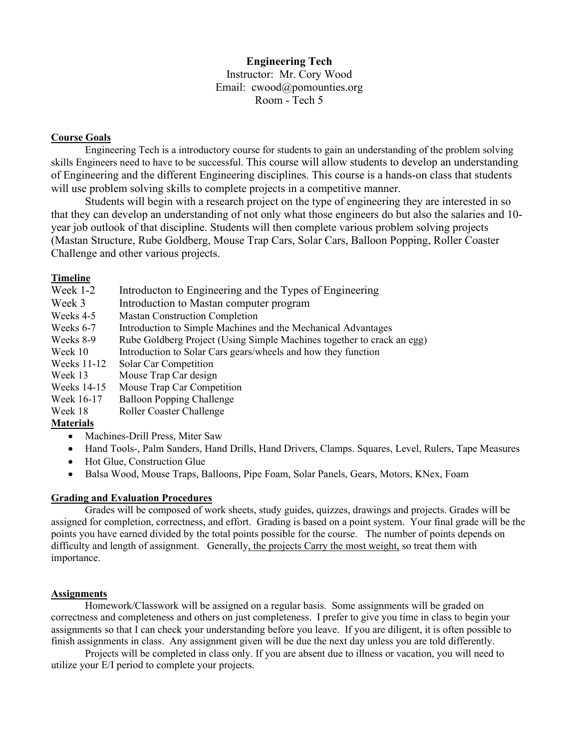# **Engineering Tech**

Instructor: Mr. Cory Wood Email: cwood@pomounties.org Room - Tech 5

## **Course Goals**

Engineering Tech is a introductory course for students to gain an understanding of the problem solving skills Engineers need to have to be successful. This course will allow students to develop an understanding of Engineering and the different Engineering disciplines. This course is a hands-on class that students will use problem solving skills to complete projects in a competitive manner.

Students will begin with a research project on the type of engineering they are interested in so that they can develop an understanding of not only what those engineers do but also the salaries and 10 year job outlook of that discipline. Students will then complete various problem solving projects (Mastan Structure, Rube Goldberg, Mouse Trap Cars, Solar Cars, Balloon Popping, Roller Coaster Challenge and other various projects.

## **Timeline**

| Week 1-2    | Introducton to Engineering and the Types of Engineering                |
|-------------|------------------------------------------------------------------------|
| Week 3      | Introduction to Mastan computer program                                |
| Weeks 4-5   | <b>Mastan Construction Completion</b>                                  |
| Weeks 6-7   | Introduction to Simple Machines and the Mechanical Advantages          |
| Weeks 8-9   | Rube Goldberg Project (Using Simple Machines together to crack an egg) |
| Week 10     | Introduction to Solar Cars gears/wheels and how they function          |
| Weeks 11-12 | Solar Car Competition                                                  |
| Week 13     | Mouse Trap Car design                                                  |
| Weeks 14-15 | Mouse Trap Car Competition                                             |
| Week 16-17  | <b>Balloon Popping Challenge</b>                                       |
| Week 18     | Roller Coaster Challenge                                               |
| .           |                                                                        |

## **Materials**

- Machines-Drill Press, Miter Saw
- Hand Tools-, Palm Sanders, Hand Drills, Hand Drivers, Clamps. Squares, Level, Rulers, Tape Measures
- Hot Glue, Construction Glue
- Balsa Wood, Mouse Traps, Balloons, Pipe Foam, Solar Panels, Gears, Motors, KNex, Foam

### **Grading and Evaluation Procedures**

Grades will be composed of work sheets, study guides, quizzes, drawings and projects. Grades will be assigned for completion, correctness, and effort. Grading is based on a point system. Your final grade will be the points you have earned divided by the total points possible for the course. The number of points depends on difficulty and length of assignment. Generally, the projects Carry the most weight, so treat them with importance.

#### **Assignments**

Homework/Classwork will be assigned on a regular basis. Some assignments will be graded on correctness and completeness and others on just completeness. I prefer to give you time in class to begin your assignments so that I can check your understanding before you leave. If you are diligent, it is often possible to finish assignments in class. Any assignment given will be due the next day unless you are told differently.

Projects will be completed in class only. If you are absent due to illness or vacation, you will need to utilize your E/I period to complete your projects.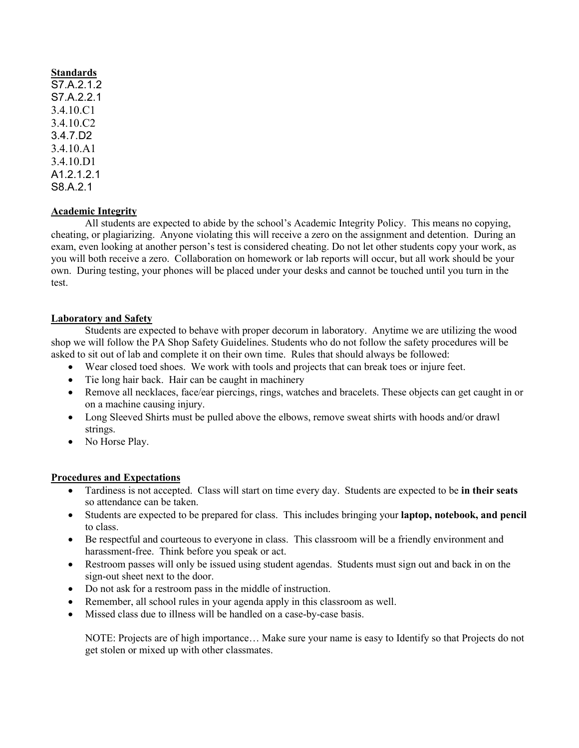**Standards** S7.A.2.1.2 S7.A.2.2.1 3.4.10.C1 3.4.10.C2 3.4.7.D2 3.4.10.A1 3.4.10.D1 A12121 S8.A.2.1

### **Academic Integrity**

All students are expected to abide by the school's Academic Integrity Policy. This means no copying, cheating, or plagiarizing. Anyone violating this will receive a zero on the assignment and detention. During an exam, even looking at another person's test is considered cheating. Do not let other students copy your work, as you will both receive a zero. Collaboration on homework or lab reports will occur, but all work should be your own. During testing, your phones will be placed under your desks and cannot be touched until you turn in the test.

#### **Laboratory and Safety**

Students are expected to behave with proper decorum in laboratory. Anytime we are utilizing the wood shop we will follow the PA Shop Safety Guidelines. Students who do not follow the safety procedures will be asked to sit out of lab and complete it on their own time. Rules that should always be followed:

- Wear closed toed shoes. We work with tools and projects that can break toes or injure feet.
- Tie long hair back. Hair can be caught in machinery
- Remove all necklaces, face/ear piercings, rings, watches and bracelets. These objects can get caught in or on a machine causing injury.
- Long Sleeved Shirts must be pulled above the elbows, remove sweat shirts with hoods and/or drawl strings.
- No Horse Play.

#### **Procedures and Expectations**

- Tardiness is not accepted. Class will start on time every day. Students are expected to be **in their seats**  so attendance can be taken.
- Students are expected to be prepared for class. This includes bringing your **laptop, notebook, and pencil**  to class.
- Be respectful and courteous to everyone in class. This classroom will be a friendly environment and harassment-free. Think before you speak or act.
- Restroom passes will only be issued using student agendas. Students must sign out and back in on the sign-out sheet next to the door.
- Do not ask for a restroom pass in the middle of instruction.
- Remember, all school rules in your agenda apply in this classroom as well.
- Missed class due to illness will be handled on a case-by-case basis.

NOTE: Projects are of high importance… Make sure your name is easy to Identify so that Projects do not get stolen or mixed up with other classmates.